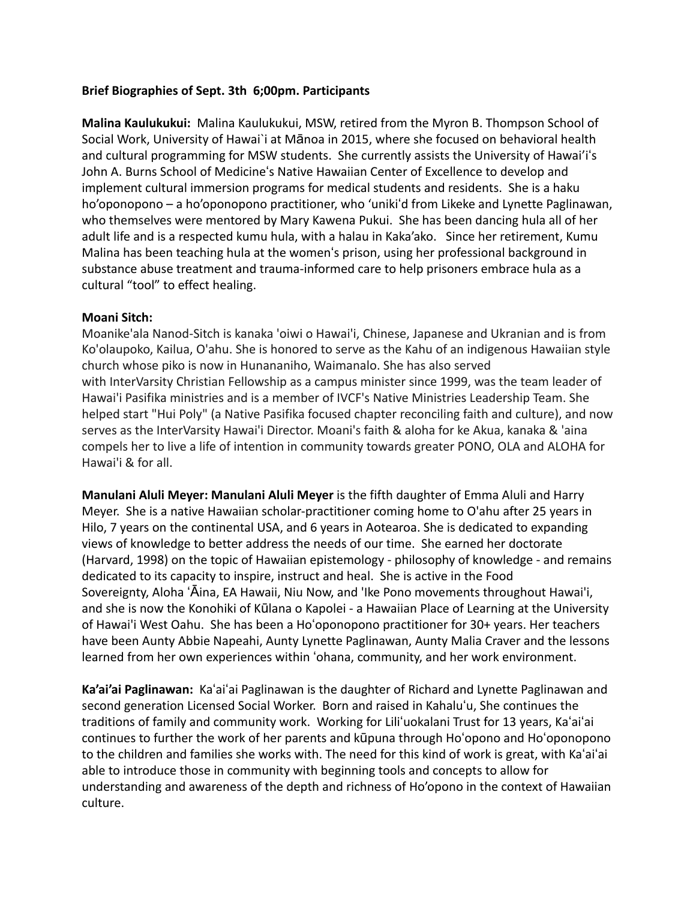## **Brief Biographies of Sept. 3th 6;00pm. Participants**

**Malina Kaulukukui:** Malina Kaulukukui, MSW, retired from the Myron B. Thompson School of Social Work, University of Hawai`i at Mānoa in 2015, where she focused on behavioral health and cultural programming for MSW students. She currently assists the University of Hawai'iʻs John A. Burns School of Medicineʻs Native Hawaiian Center of Excellence to develop and implement cultural immersion programs for medical students and residents. She is a haku ho'oponopono – a ho'oponopono practitioner, who 'unikiʻd from Likeke and Lynette Paglinawan, who themselves were mentored by Mary Kawena Pukui. She has been dancing hula all of her adult life and is a respected kumu hula, with a halau in Kaka'ako. Since her retirement, Kumu Malina has been teaching hula at the womenʻs prison, using her professional background in substance abuse treatment and trauma-informed care to help prisoners embrace hula as a cultural "tool" to effect healing.

## **Moani Sitch:**

Moanike'ala Nanod-Sitch is kanaka 'oiwi o Hawai'i, Chinese, Japanese and Ukranian and is from Ko'olaupoko, Kailua, O'ahu. She is honored to serve as the Kahu of an indigenous Hawaiian style church whose piko is now in Hunananiho, Waimanalo. She has also served with InterVarsity Christian Fellowship as a campus minister since 1999, was the team leader of Hawai'i Pasifika ministries and is a member of IVCF's Native Ministries Leadership Team. She helped start "Hui Poly" (a Native Pasifika focused chapter reconciling faith and culture), and now serves as the InterVarsity Hawai'i Director. Moani's faith & aloha for ke Akua, kanaka & 'aina compels her to live a life of intention in community towards greater PONO, OLA and ALOHA for Hawai'i & for all.

**Manulani Aluli Meyer: Manulani Aluli Meyer** is the fifth daughter of Emma Aluli and Harry Meyer. She is a native Hawaiian scholar-practitioner coming home to O'ahu after 25 years in Hilo, 7 years on the continental USA, and 6 years in Aotearoa. She is dedicated to expanding views of knowledge to better address the needs of our time. She earned her doctorate (Harvard, 1998) on the topic of Hawaiian epistemology - philosophy of knowledge - and remains dedicated to its capacity to inspire, instruct and heal. She is active in the Food Sovereignty, Aloha ʻĀina, EA Hawaii, Niu Now, and 'Ike Pono movements throughout Hawai'i, and she is now the Konohiki of Kūlana o Kapolei - a Hawaiian Place of Learning at the University of Hawai'i West Oahu. She has been a Hoʻoponopono practitioner for 30+ years. Her teachers have been Aunty Abbie Napeahi, Aunty Lynette Paglinawan, Aunty Malia Craver and the lessons learned from her own experiences within ʻohana, community, and her work environment.

**Ka'ai'ai Paglinawan:** Kaʻaiʻai Paglinawan is the daughter of Richard and Lynette Paglinawan and second generation Licensed Social Worker. Born and raised in Kahaluʻu, She continues the traditions of family and community work. Working for Liliʻuokalani Trust for 13 years, Kaʻaiʻai continues to further the work of her parents and kūpuna through Hoʻopono and Hoʻoponopono to the children and families she works with. The need for this kind of work is great, with Kaʻaiʻai able to introduce those in community with beginning tools and concepts to allow for understanding and awareness of the depth and richness of Ho'opono in the context of Hawaiian culture.